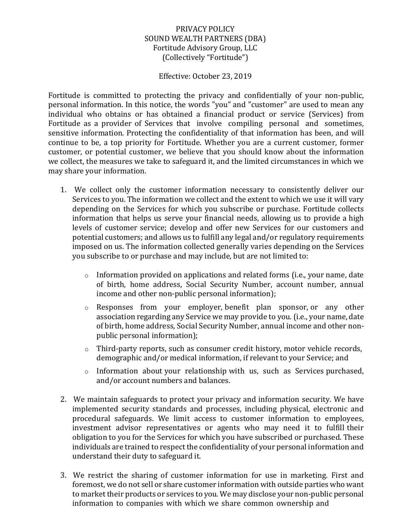### PRIVACY POLICY SOUND WEALTH PARTNERS (DBA) Fortitude Advisory Group, LLC (Collectively "Fortitude")

#### Effective: October 23, 2019

Fortitude is committed to protecting the privacy and confidentially of your non-public, personal information. In this notice, the words "you" and "customer" are used to mean any individual who obtains or has obtained a financial product or service (Services) from Fortitude as a provider of Services that involve compiling personal and sometimes, sensitive information. Protecting the confidentiality of that information has been, and will continue to be, a top priority for Fortitude. Whether you are a current customer, former customer, or potential customer, we believe that you should know about the information we collect, the measures we take to safeguard it, and the limited circumstances in which we may share your information.

- 1. We collect only the customer information necessary to consistently deliver our Services to you. The information we collect and the extent to which we use it will vary depending on the Services for which you subscribe or purchase. Fortitude collects information that helps us serve your financial needs, allowing us to provide a high levels of customer service; develop and offer new Services for our customers and potential customers; and allows us to fulfill any legal and/or regulatory requirements imposed on us. The information collected generally varies depending on the Services you subscribe to or purchase and may include, but are not limited to:
	- o Information provided on applications and related forms (i.e., your name, date of birth, home address, Social Security Number, account number, annual income and other non-public personal information);
	- o Responses from your employer, benefit plan sponsor, or any other association regarding any Service we may provide to you. (i.e., your name, date of birth, home address, Social Security Number, annual income and other non‐ public personal information);
	- $\circ$  Third-party reports, such as consumer credit history, motor vehicle records, demographic and/or medical information, if relevant to your Service; and
	- o Information about your relationship with us, such as Services purchased, and/or account numbers and balances.
- 2. We maintain safeguards to protect your privacy and information security. We have implemented security standards and processes, including physical, electronic and procedural safeguards. We limit access to customer information to employees, investment advisor representatives or agents who may need it to fulfill their obligation to you for the Services for which you have subscribed or purchased. These individuals are trained to respect the confidentiality of your personal information and understand their duty to safeguard it.
- 3. We restrict the sharing of customer information for use in marketing. First and foremost, we do not sell or share customer information with outside parties who want to market their products or services to you. We may disclose your non‐public personal information to companies with which we share common ownership and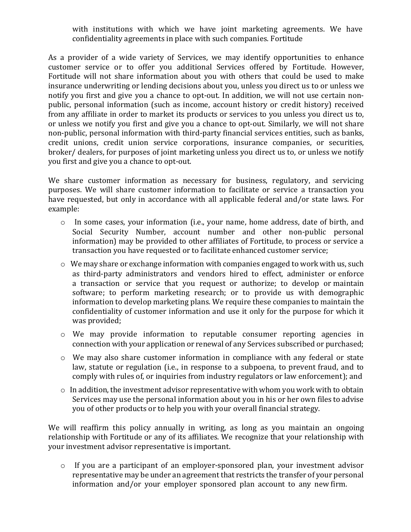with institutions with which we have joint marketing agreements. We have confidentiality agreements in place with such companies. Fortitude

As a provider of a wide variety of Services, we may identify opportunities to enhance customer service or to offer you additional Services offered by Fortitude. However, Fortitude will not share information about you with others that could be used to make insurance underwriting or lending decisions about you, unless you direct us to or unless we notify you first and give you a chance to opt-out. In addition, we will not use certain nonpublic, personal information (such as income, account history or credit history) received from any affiliate in order to market its products or services to you unless you direct us to, or unless we notify you first and give you a chance to opt‐out. Similarly, we will not share non‐public, personal information with third‐party financial services entities, such as banks, credit unions, credit union service corporations, insurance companies, or securities, broker/ dealers, for purposes of joint marketing unless you direct us to, or unless we notify you first and give you a chance to opt‐out.

We share customer information as necessary for business, regulatory, and servicing purposes. We will share customer information to facilitate or service a transaction you have requested, but only in accordance with all applicable federal and/or state laws. For example:

- o In some cases, your information (i.e., your name, home address, date of birth, and Social Security Number, account number and other non-public personal information) may be provided to other affiliates of Fortitude, to process or service a transaction you have requested or to facilitate enhanced customer service;
- o We may share or exchange information with companies engaged to work with us, such as third-party administrators and vendors hired to effect, administer or enforce a transaction or service that you request or authorize; to develop or maintain software; to perform marketing research; or to provide us with demographic information to develop marketing plans. We require these companies to maintain the confidentiality of customer information and use it only for the purpose for which it was provided;
- o We may provide information to reputable consumer reporting agencies in connection with your application or renewal of any Services subscribed or purchased;
- o We may also share customer information in compliance with any federal or state law, statute or regulation (i.e., in response to a subpoena, to prevent fraud, and to comply with rules of, or inquiries from industry regulators or law enforcement); and
- o In addition, the investment advisor representative with whom you work with to obtain Services may use the personal information about you in his or her own files to advise you of other products or to help you with your overall financial strategy.

We will reaffirm this policy annually in writing, as long as you maintain an ongoing relationship with Fortitude or any of its affiliates. We recognize that your relationship with your investment advisor representative is important.

o If you are a participant of an employer-sponsored plan, your investment advisor representative may be under an agreement that restricts the transfer of your personal information and/or your employer sponsored plan account to any new firm.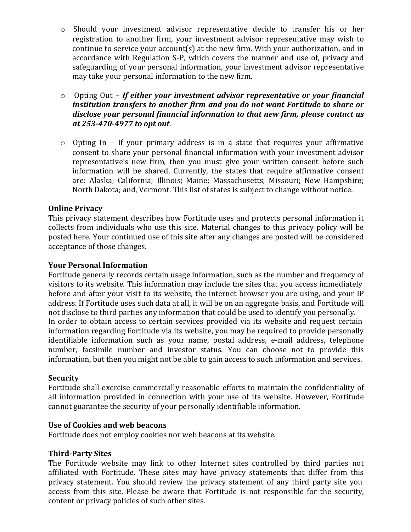- o Should your investment advisor representative decide to transfer his or her registration to another firm, your investment advisor representative may wish to continue to service your account(s) at the new firm. With your authorization, and in accordance with Regulation S‐P, which covers the manner and use of, privacy and safeguarding of your personal information, your investment advisor representative may take your personal information to the new firm.
- o Opting Out *If either your investment advisor representative or your financial institution transfers to another firm and you do not want Fortitude to share or disclose your personal financial information to that new firm, please contact us at 253-470-4977 to opt out*.
- o Opting In If your primary address is in a state that requires your affirmative consent to share your personal financial information with your investment advisor representative's new firm, then you must give your written consent before such information will be shared. Currently, the states that require affirmative consent are: Alaska; California; Illinois; Maine; Massachusetts; Missouri; New Hampshire; North Dakota; and, Vermont. This list of states is subject to change without notice.

# **Online Privacy**

This privacy statement describes how Fortitude uses and protects personal information it collects from individuals who use this site. Material changes to this privacy policy will be posted here. Your continued use of this site after any changes are posted will be considered acceptance of those changes.

### **Your Personal Information**

Fortitude generally records certain usage information, such as the number and frequency of visitors to its website. This information may include the sites that you access immediately before and after your visit to its website, the internet browser you are using, and your IP address. If Fortitude uses such data at all, it will be on an aggregate basis, and Fortitude will not disclose to third parties any information that could be used to identify you personally. In order to obtain access to certain services provided via its website and request certain information regarding Fortitude via its website, you may be required to provide personally identifiable information such as your name, postal address, e-mail address, telephone number, facsimile number and investor status. You can choose not to provide this information, but then you might not be able to gain access to such information and services.

### **Security**

Fortitude shall exercise commercially reasonable efforts to maintain the confidentiality of all information provided in connection with your use of its website. However, Fortitude cannot guarantee the security of your personally identifiable information.

### **Use of Cookies and web beacons**

Fortitude does not employ cookies nor web beacons at its website.

# **Third-Party Sites**

The Fortitude website may link to other Internet sites controlled by third parties not affiliated with Fortitude. These sites may have privacy statements that differ from this privacy statement. You should review the privacy statement of any third party site you access from this site. Please be aware that Fortitude is not responsible for the security, content or privacy policies of such other sites.